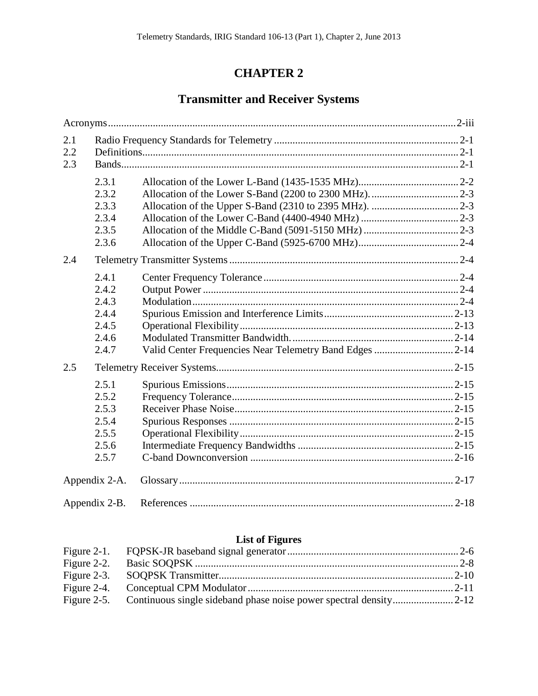## **CHAPTER 2**

# **Transmitter and Receiver Systems**

| 2.1<br>2.2<br>2.3 |                                                             |  |
|-------------------|-------------------------------------------------------------|--|
|                   | 2.3.1<br>2.3.2<br>2.3.3<br>2.3.4<br>2.3.5                   |  |
| 2.4               | 2.3.6                                                       |  |
|                   | 2.4.1<br>2.4.2<br>2.4.3<br>2.4.4<br>2.4.5<br>2.4.6<br>2.4.7 |  |
| 2.5               | 2.5.1<br>2.5.2<br>2.5.3<br>2.5.4<br>2.5.5<br>2.5.6<br>2.5.7 |  |
|                   | Appendix 2-A.                                               |  |
|                   | Appendix 2-B.                                               |  |

## **List of Figures**

| Figure 2-5. Continuous single sideband phase noise power spectral density 2-12 |  |
|--------------------------------------------------------------------------------|--|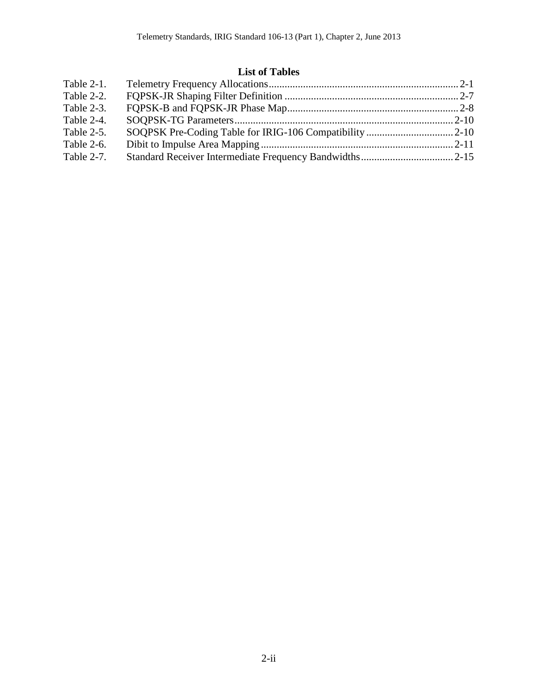## **List of Tables**

| Table 2-1. |  |
|------------|--|
| Table 2-2. |  |
| Table 2-3. |  |
| Table 2-4. |  |
| Table 2-5. |  |
| Table 2-6. |  |
| Table 2-7. |  |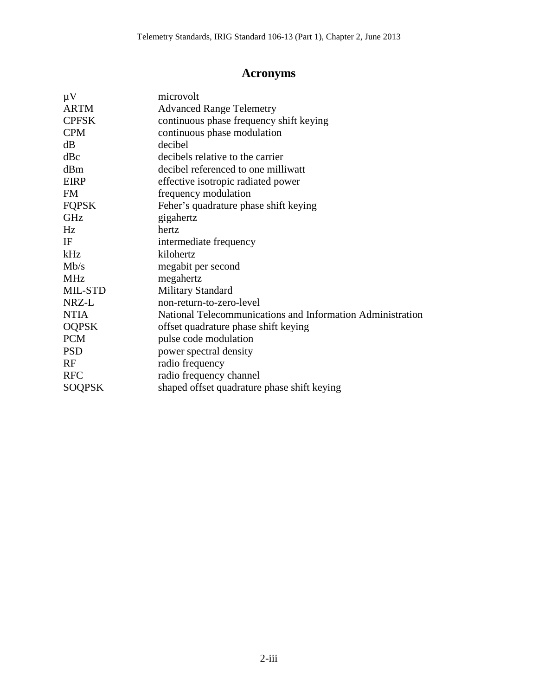# **Acronyms**

<span id="page-2-0"></span>

| $\mu$ V       | microvolt                                                  |
|---------------|------------------------------------------------------------|
| <b>ARTM</b>   | <b>Advanced Range Telemetry</b>                            |
| <b>CPFSK</b>  | continuous phase frequency shift keying                    |
| <b>CPM</b>    | continuous phase modulation                                |
| dB            | decibel                                                    |
| dBc           | decibels relative to the carrier                           |
| dBm           | decibel referenced to one milliwatt                        |
| <b>EIRP</b>   | effective isotropic radiated power                         |
| <b>FM</b>     | frequency modulation                                       |
| <b>FQPSK</b>  | Feher's quadrature phase shift keying                      |
| GHz           | gigahertz                                                  |
| Hz            | hertz                                                      |
| IF            | intermediate frequency                                     |
| kHz           | kilohertz                                                  |
| Mb/s          | megabit per second                                         |
| <b>MHz</b>    | megahertz                                                  |
| MIL-STD       | <b>Military Standard</b>                                   |
| NRZ-L         | non-return-to-zero-level                                   |
| <b>NTIA</b>   | National Telecommunications and Information Administration |
| <b>OQPSK</b>  | offset quadrature phase shift keying                       |
| <b>PCM</b>    | pulse code modulation                                      |
| <b>PSD</b>    | power spectral density                                     |
| RF            | radio frequency                                            |
| <b>RFC</b>    | radio frequency channel                                    |
| <b>SOQPSK</b> | shaped offset quadrature phase shift keying                |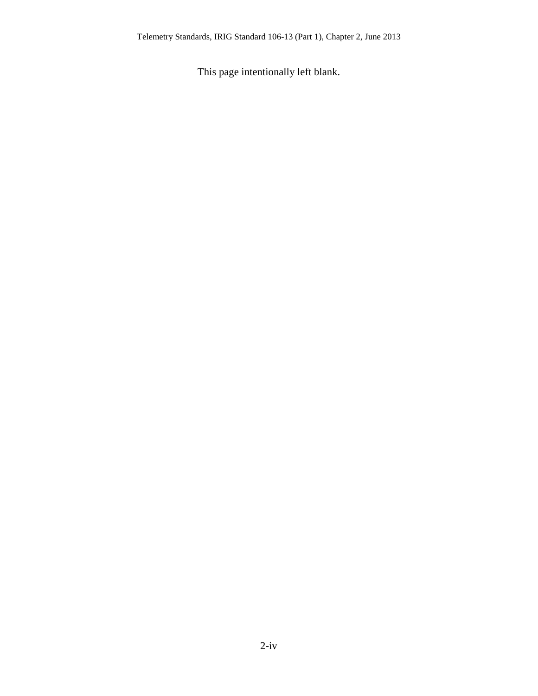This page intentionally left blank.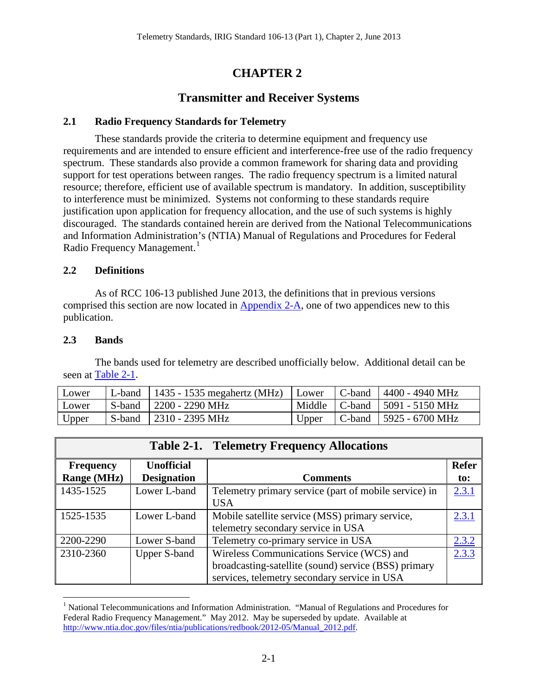# **CHAPTER 2**

## **Transmitter and Receiver Systems**

### <span id="page-4-0"></span>**2.1 Radio Frequency Standards for Telemetry**

These standards provide the criteria to determine equipment and frequency use requirements and are intended to ensure efficient and interference-free use of the radio frequency spectrum. These standards also provide a common framework for sharing data and providing support for test operations between ranges. The radio frequency spectrum is a limited natural resource; therefore, efficient use of available spectrum is mandatory. In addition, susceptibility to interference must be minimized. Systems not conforming to these standards require justification upon application for frequency allocation, and the use of such systems is highly discouraged. The standards contained herein are derived from the National Telecommunications and Information Administration's (NTIA) Manual of Regulations and Procedures for Federal Radio Frequency Management.<sup>[1](#page-4-4)</sup>

#### <span id="page-4-1"></span>**2.2 Definitions**

As of RCC 106-13 published June 2013, the definitions that in previous versions comprised this section are now located in [Appendix 2-A,](#page-20-0) one of two appendices new to this publication.

#### <span id="page-4-2"></span>**2.3 Bands**

The bands used for telemetry are described unofficially below. Additional detail can be seen at [Table 2-1.](#page-4-3)

| l Lower | L-band | 1435 - 1535 megahertz (MHz) | Lower  | C-band | 4400 - 4940 MHz                |
|---------|--------|-----------------------------|--------|--------|--------------------------------|
| Lower   | S-band | $ 2200 - 2290 \text{ MHz} $ | Middle |        | C-band   $5091 - 5150$ MHz     |
| Upper   | S-band | 2310 - 2395 MHz             | Upper  |        | $ $ C-band $ $ 5925 - 6700 MHz |

<span id="page-4-3"></span>

|                  |                     | <b>Table 2-1. Telemetry Frequency Allocations</b>     |              |
|------------------|---------------------|-------------------------------------------------------|--------------|
| <b>Frequency</b> | <b>Unofficial</b>   |                                                       | <b>Refer</b> |
| Range (MHz)      | <b>Designation</b>  | <b>Comments</b>                                       | to:          |
| 1435-1525        | Lower L-band        | Telemetry primary service (part of mobile service) in | 2.3.1        |
|                  |                     | <b>USA</b>                                            |              |
| 1525-1535        | Lower L-band        | Mobile satellite service (MSS) primary service,       |              |
|                  |                     | telemetry secondary service in USA                    |              |
| 2200-2290        | Lower S-band        | Telemetry co-primary service in USA                   | 2.3.2        |
| 2310-2360        | <b>Upper S-band</b> | Wireless Communications Service (WCS) and             | 2.3.3        |
|                  |                     | broadcasting-satellite (sound) service (BSS) primary  |              |
|                  |                     | services, telemetry secondary service in USA          |              |

<span id="page-4-4"></span><sup>&</sup>lt;sup>1</sup> National Telecommunications and Information Administration. "Manual of Regulations and Procedures for Federal Radio Frequency Management." May 2012. May be superseded by update. Available at [http://www.ntia.doc.gov/files/ntia/publications/redbook/2012-05/Manual\\_2012.pdf.](http://www.ntia.doc.gov/files/ntia/publications/redbook/2012-05/Manual_2012.pdf)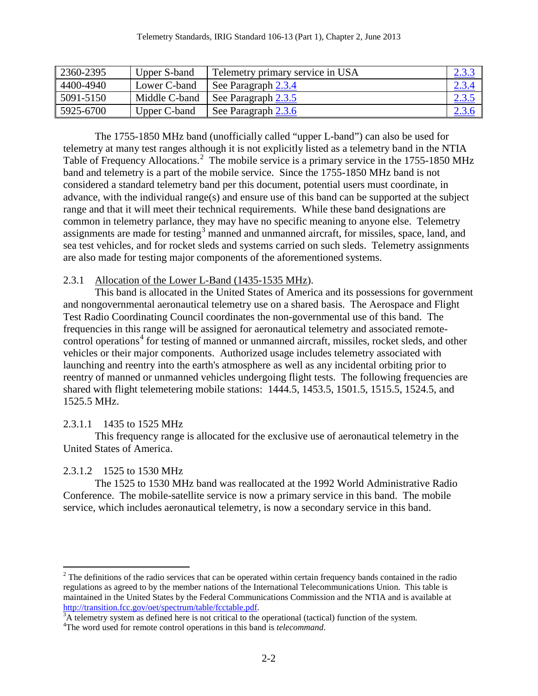| 2360-2395 | <b>Upper S-band</b> | Telemetry primary service in USA | 2.3.3        |
|-----------|---------------------|----------------------------------|--------------|
| 4400-4940 | Lower C-band        | See Paragraph 2.3.4              | 2.3.4        |
| 5091-5150 | Middle C-band       | See Paragraph 2.3.5              | 2.3.5        |
| 5925-6700 | Upper C-band        | See Paragraph 2.3.6              | <u>2.3.6</u> |

The 1755-1850 MHz band (unofficially called "upper L-band") can also be used for telemetry at many test ranges although it is not explicitly listed as a telemetry band in the NTIA Table of Frequency Allocations.<sup>[2](#page-5-1)</sup> The mobile service is a primary service in the 1755-1850 MHz band and telemetry is a part of the mobile service. Since the 1755-1850 MHz band is not considered a standard telemetry band per this document, potential users must coordinate, in advance, with the individual range(s) and ensure use of this band can be supported at the subject range and that it will meet their technical requirements. While these band designations are common in telemetry parlance, they may have no specific meaning to anyone else. Telemetry assignments are made for testing<sup>[3](#page-5-2)</sup> manned and unmanned aircraft, for missiles, space, land, and sea test vehicles, and for rocket sleds and systems carried on such sleds. Telemetry assignments are also made for testing major components of the aforementioned systems.

#### <span id="page-5-0"></span>2.3.1 Allocation of the Lower L-Band (1435-1535 MHz).

This band is allocated in the United States of America and its possessions for government and nongovernmental aeronautical telemetry use on a shared basis. The Aerospace and Flight Test Radio Coordinating Council coordinates the non-governmental use of this band. The frequencies in this range will be assigned for aeronautical telemetry and associated remote-control operations<sup>[4](#page-5-3)</sup> for testing of manned or unmanned aircraft, missiles, rocket sleds, and other vehicles or their major components. Authorized usage includes telemetry associated with launching and reentry into the earth's atmosphere as well as any incidental orbiting prior to reentry of manned or unmanned vehicles undergoing flight tests. The following frequencies are shared with flight telemetering mobile stations: 1444.5, 1453.5, 1501.5, 1515.5, 1524.5, and 1525.5 MHz.

#### 2.3.1.1 1435 to 1525 MHz

This frequency range is allocated for the exclusive use of aeronautical telemetry in the United States of America.

#### 2.3.1.2 1525 to 1530 MHz

The 1525 to 1530 MHz band was reallocated at the 1992 World Administrative Radio Conference. The mobile-satellite service is now a primary service in this band. The mobile service, which includes aeronautical telemetry, is now a secondary service in this band.

<span id="page-5-1"></span><sup>&</sup>lt;sup>2</sup> The definitions of the radio services that can be operated within certain frequency bands contained in the radio regulations as agreed to by the member nations of the International Telecommunications Union. This table is maintained in the United States by the Federal Communications Commission and the NTIA and is available at http://transition.fcc.gov/oet/spectrum/table/fcctable.pdf.

<span id="page-5-2"></span>[http://transition.fcc.gov/oet/spectrum/table/fcctable.pdf.](http://transition.fcc.gov/oet/spectrum/table/fcctable.pdf)<br><sup>3</sup>A telemetry system as defined here is not critical to the operational (tactical) function of the system.

<span id="page-5-3"></span><sup>4</sup> The word used for remote control operations in this band is *telecommand*.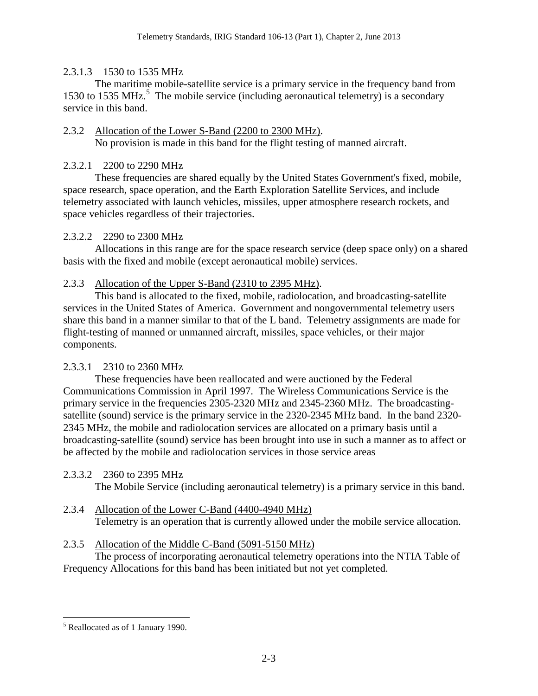### 2.3.1.3 1530 to 1535 MHz

The maritime mobile-satellite service is a primary service in the frequency band from 1530 to 1535 MHz. [5](#page-6-4) The mobile service (including aeronautical telemetry) is a secondary service in this band.

## <span id="page-6-0"></span>2.3.2 Allocation of the Lower S-Band (2200 to 2300 MHz).

No provision is made in this band for the flight testing of manned aircraft.

#### 2.3.2.1 2200 to 2290 MHz

These frequencies are shared equally by the United States Government's fixed, mobile, space research, space operation, and the Earth Exploration Satellite Services, and include telemetry associated with launch vehicles, missiles, upper atmosphere research rockets, and space vehicles regardless of their trajectories.

## 2.3.2.2 2290 to 2300 MHz

Allocations in this range are for the space research service (deep space only) on a shared basis with the fixed and mobile (except aeronautical mobile) services.

#### <span id="page-6-1"></span>2.3.3 Allocation of the Upper S-Band (2310 to 2395 MHz).

This band is allocated to the fixed, mobile, radiolocation, and broadcasting-satellite services in the United States of America. Government and nongovernmental telemetry users share this band in a manner similar to that of the L band. Telemetry assignments are made for flight-testing of manned or unmanned aircraft, missiles, space vehicles, or their major components.

## 2.3.3.1 2310 to 2360 MHz

These frequencies have been reallocated and were auctioned by the Federal Communications Commission in April 1997. The Wireless Communications Service is the primary service in the frequencies 2305-2320 MHz and 2345-2360 MHz. The broadcastingsatellite (sound) service is the primary service in the 2320-2345 MHz band. In the band 2320- 2345 MHz, the mobile and radiolocation services are allocated on a primary basis until a broadcasting-satellite (sound) service has been brought into use in such a manner as to affect or be affected by the mobile and radiolocation services in those service areas

## 2.3.3.2 2360 to 2395 MHz

The Mobile Service (including aeronautical telemetry) is a primary service in this band.

#### <span id="page-6-2"></span>2.3.4 Allocation of the Lower C-Band (4400-4940 MHz) Telemetry is an operation that is currently allowed under the mobile service allocation.

## <span id="page-6-3"></span>2.3.5 Allocation of the Middle C-Band (5091-5150 MHz)

The process of incorporating aeronautical telemetry operations into the NTIA Table of Frequency Allocations for this band has been initiated but not yet completed.

<span id="page-6-4"></span> <sup>5</sup> Reallocated as of 1 January 1990.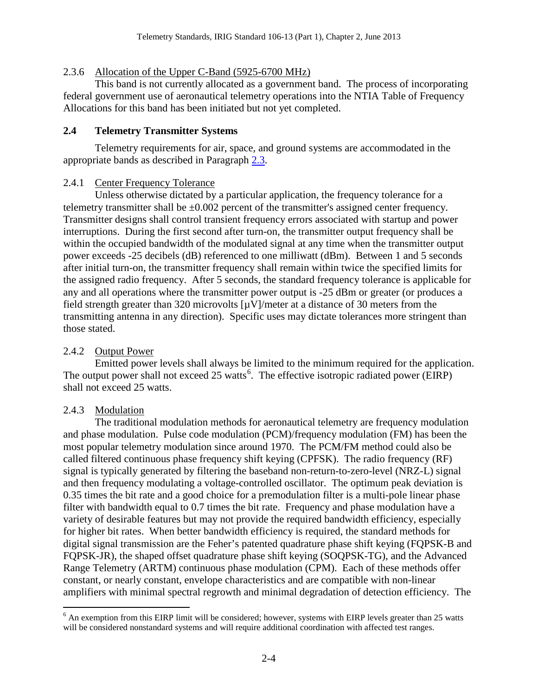#### <span id="page-7-0"></span>2.3.6 Allocation of the Upper C-Band (5925-6700 MHz)

This band is not currently allocated as a government band. The process of incorporating federal government use of aeronautical telemetry operations into the NTIA Table of Frequency Allocations for this band has been initiated but not yet completed.

#### <span id="page-7-1"></span>**2.4 Telemetry Transmitter Systems**

Telemetry requirements for air, space, and ground systems are accommodated in the appropriate bands as described in Paragraph [2.3.](#page-4-2)

#### <span id="page-7-2"></span>2.4.1 Center Frequency Tolerance

Unless otherwise dictated by a particular application, the frequency tolerance for a telemetry transmitter shall be  $\pm 0.002$  percent of the transmitter's assigned center frequency. Transmitter designs shall control transient frequency errors associated with startup and power interruptions. During the first second after turn-on, the transmitter output frequency shall be within the occupied bandwidth of the modulated signal at any time when the transmitter output power exceeds -25 decibels (dB) referenced to one milliwatt (dBm). Between 1 and 5 seconds after initial turn-on, the transmitter frequency shall remain within twice the specified limits for the assigned radio frequency. After 5 seconds, the standard frequency tolerance is applicable for any and all operations where the transmitter power output is -25 dBm or greater (or produces a field strength greater than 320 microvolts [µV]/meter at a distance of 30 meters from the transmitting antenna in any direction). Specific uses may dictate tolerances more stringent than those stated.

## <span id="page-7-3"></span>2.4.2 Output Power

Emitted power levels shall always be limited to the minimum required for the application. The output power shall not exceed 25 watts<sup>[6](#page-7-5)</sup>. The effective isotropic radiated power (EIRP) shall not exceed 25 watts.

## <span id="page-7-4"></span>2.4.3 Modulation

The traditional modulation methods for aeronautical telemetry are frequency modulation and phase modulation. Pulse code modulation (PCM)/frequency modulation (FM) has been the most popular telemetry modulation since around 1970. The PCM/FM method could also be called filtered continuous phase frequency shift keying (CPFSK). The radio frequency (RF) signal is typically generated by filtering the baseband non-return-to-zero-level (NRZ-L) signal and then frequency modulating a voltage-controlled oscillator. The optimum peak deviation is 0.35 times the bit rate and a good choice for a premodulation filter is a multi-pole linear phase filter with bandwidth equal to 0.7 times the bit rate. Frequency and phase modulation have a variety of desirable features but may not provide the required bandwidth efficiency, especially for higher bit rates. When better bandwidth efficiency is required, the standard methods for digital signal transmission are the Feher's patented quadrature phase shift keying (FQPSK-B and FQPSK-JR), the shaped offset quadrature phase shift keying (SOQPSK-TG), and the Advanced Range Telemetry (ARTM) continuous phase modulation (CPM). Each of these methods offer constant, or nearly constant, envelope characteristics and are compatible with non-linear amplifiers with minimal spectral regrowth and minimal degradation of detection efficiency. The

<span id="page-7-5"></span><sup>&</sup>lt;sup>6</sup> An exemption from this EIRP limit will be considered; however, systems with EIRP levels greater than 25 watts will be considered nonstandard systems and will require additional coordination with affected test ranges.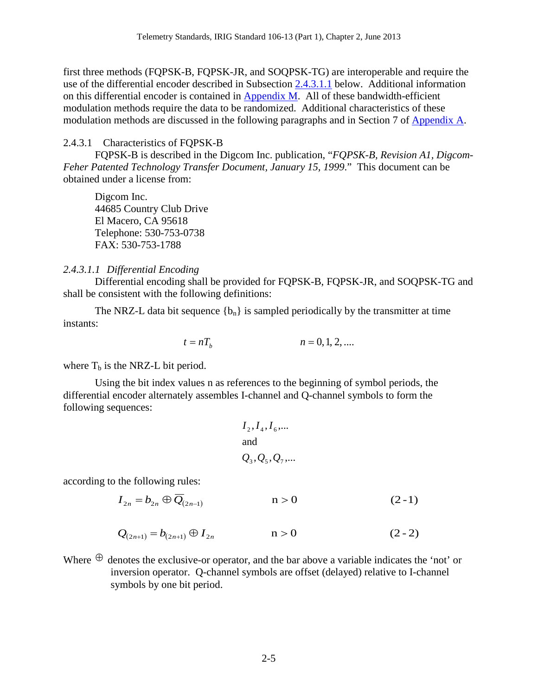first three methods (FQPSK-B, FQPSK-JR, and SOQPSK-TG) are interoperable and require the use of the differential encoder described in Subsection [2.4.3.1.1](#page-8-0) below. Additional information on this differential encoder is contained in  $\Delta$ ppendix  $M$ . All of these bandwidth-efficient modulation methods require the data to be randomized. Additional characteristics of these modulation methods are discussed in the following paragraphs and in Section 7 of [Appendix A.](http://www.wsmr.army.mil/RCCsite/Documents/106-13_Telemetry_Standards/appendixA.pdf)

#### 2.4.3.1 Characteristics of FQPSK-B

FQPSK-B is described in the Digcom Inc. publication, "*FQPSK-B, Revision A1, Digcom-Feher Patented Technology Transfer Document, January 15, 1999*." This document can be obtained under a license from:

Digcom Inc. 44685 Country Club Drive El Macero, CA 95618 Telephone: 530-753-0738 FAX: 530-753-1788

#### <span id="page-8-0"></span>*2.4.3.1.1 Differential Encoding*

Differential encoding shall be provided for FQPSK-B, FQPSK-JR, and SOQPSK-TG and shall be consistent with the following definitions:

The NRZ-L data bit sequence  ${b_n}$  is sampled periodically by the transmitter at time instants:

 $t = nT_k$   $n = 0, 1, 2, ...$ 

where  $T_b$  is the NRZ-L bit period.

Using the bit index values n as references to the beginning of symbol periods, the differential encoder alternately assembles I-channel and Q-channel symbols to form the following sequences:

$$
I_2, I_4, I_6,...
$$
  
and  
 $Q_3, Q_5, Q_7,...$ 

according to the following rules:

 $I_{2n} = b_{2n} \oplus \overline{Q}_{(2n-1)}$   $n >$  $n > 0$  (2-1)

$$
Q_{(2n+1)} = b_{(2n+1)} \oplus I_{2n} \qquad \qquad n > 0 \qquad (2-2)
$$

Where  $\Theta$  denotes the exclusive-or operator, and the bar above a variable indicates the 'not' or inversion operator. Q-channel symbols are offset (delayed) relative to I-channel symbols by one bit period.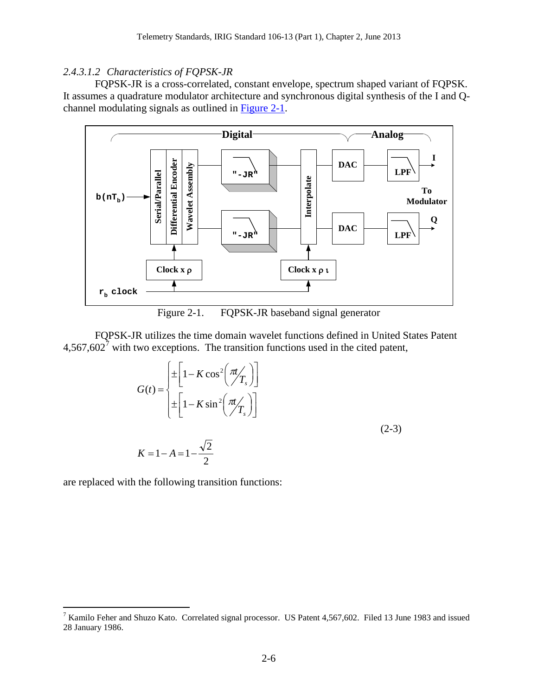#### *2.4.3.1.2 Characteristics of FQPSK-JR*

FQPSK-JR is a cross-correlated, constant envelope, spectrum shaped variant of FQPSK. It assumes a quadrature modulator architecture and synchronous digital synthesis of the I and Qchannel modulating signals as outlined in [Figure 2-1.](#page-9-0)



Figure 2-1. FQPSK-JR baseband signal generator

<span id="page-9-0"></span>FQPSK-JR utilizes the time domain wavelet functions defined in United States Patent  $4,567,602<sup>7</sup>$  $4,567,602<sup>7</sup>$  $4,567,602<sup>7</sup>$  with two exceptions. The transition functions used in the cited patent,

$$
G(t) = \begin{cases} \pm \left[1 - K \cos^2\left(\frac{\pi}{T_s}\right)\right] \\ \pm \left[1 - K \sin^2\left(\frac{\pi}{T_s}\right)\right] \end{cases}
$$
  
\n
$$
K = 1 - A = 1 - \frac{\sqrt{2}}{2}
$$
\n(2-3)

are replaced with the following transition functions:

<span id="page-9-1"></span> <sup>7</sup> Kamilo Feher and Shuzo Kato. Correlated signal processor. US Patent 4,567,602. Filed 13 June 1983 and issued 28 January 1986.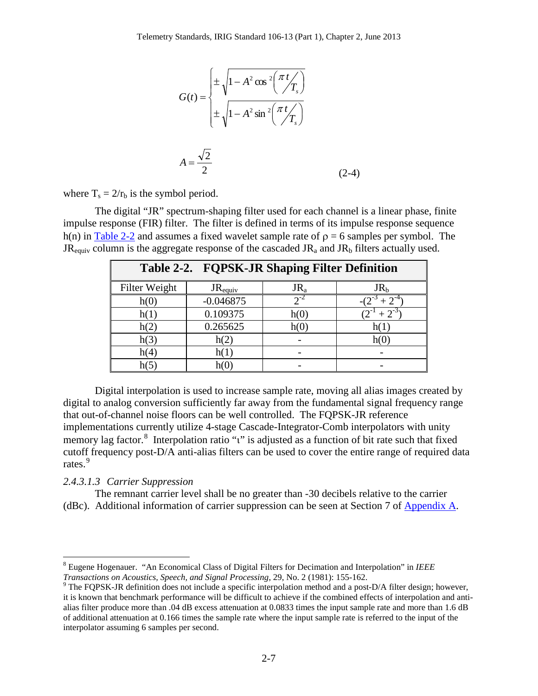$$
G(t) = \begin{cases} \pm \sqrt{1 - A^2 \cos^2(\pi t/\tau_s)} \\ \pm \sqrt{1 - A^2 \sin^2(\pi t/\tau_s)} \end{cases}
$$

$$
A = \frac{\sqrt{2}}{2}
$$
(2-4)

where  $T_s = 2/r_b$  is the symbol period.

The digital "JR" spectrum-shaping filter used for each channel is a linear phase, finite impulse response (FIR) filter. The filter is defined in terms of its impulse response sequence h(n) in [Table 2-2](#page-10-0) and assumes a fixed wavelet sample rate of  $\rho = 6$  samples per symbol. The  $JR_{\text{equiv}}$  column is the aggregate response of the cascaded  $JR_a$  and  $JR_b$  filters actually used.

<span id="page-10-0"></span>

|               | Table 2-2. FQPSK-JR Shaping Filter Definition |        |                   |
|---------------|-----------------------------------------------|--------|-------------------|
| Filter Weight | $JR_{equiv}$                                  | $JR_a$ | JR <sub>b</sub>   |
|               | $-0.046875$                                   |        |                   |
| h(1)          | 0.109375                                      | h(0)   | $+2$ <sup>-</sup> |
| h(2)          | 0.265625                                      | h(0)   |                   |
| h(3)          | h(2)                                          |        | h(0)              |
| h(4           | h( I                                          |        |                   |
| h(5           |                                               |        |                   |

Digital interpolation is used to increase sample rate, moving all alias images created by digital to analog conversion sufficiently far away from the fundamental signal frequency range that out-of-channel noise floors can be well controlled. The FQPSK-JR reference implementations currently utilize 4-stage Cascade-Integrator-Comb interpolators with unity memory lag factor.<sup>[8](#page-10-1)</sup> Interpolation ratio "i" is adjusted as a function of bit rate such that fixed cutoff frequency post-D/A anti-alias filters can be used to cover the entire range of required data rates.<sup>[9](#page-10-2)</sup>

#### *2.4.3.1.3 Carrier Suppression*

The remnant carrier level shall be no greater than -30 decibels relative to the carrier (dBc). Additional information of carrier suppression can be seen at Section 7 of [Appendix A.](http://www.wsmr.army.mil/RCCsite/Documents/106-13_Telemetry_Standards/appendixA.pdf)

<span id="page-10-1"></span> <sup>8</sup> Eugene Hogenauer. "An Economical Class of Digital Filters for Decimation and Interpolation" in *IEEE* 

<span id="page-10-2"></span>*Transactions on Acoustics, Speech, and Signal Processing*, 29, No. 2 (1981): 155-162.<br><sup>9</sup> The FQPSK-JR definition does not include a specific interpolation method and a post-D/A filter design; however, it is known that benchmark performance will be difficult to achieve if the combined effects of interpolation and antialias filter produce more than .04 dB excess attenuation at 0.0833 times the input sample rate and more than 1.6 dB of additional attenuation at 0.166 times the sample rate where the input sample rate is referred to the input of the interpolator assuming 6 samples per second.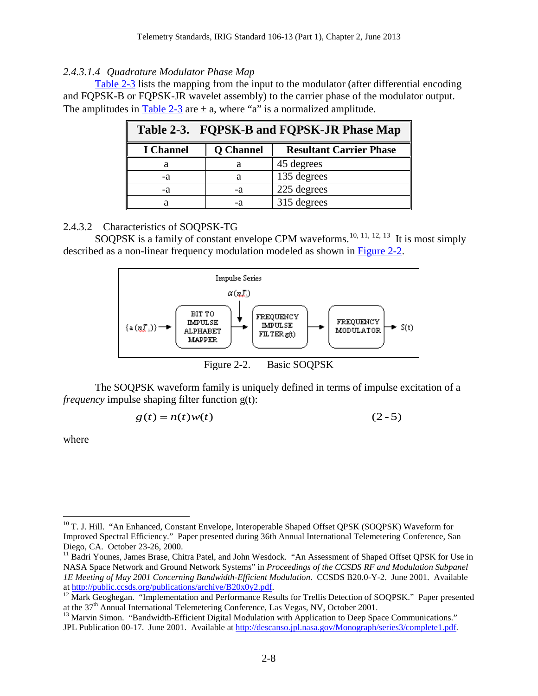#### *2.4.3.1.4 Quadrature Modulator Phase Map*

[Table 2-3](#page-11-1) lists the mapping from the input to the modulator (after differential encoding and FQPSK-B or FQPSK-JR wavelet assembly) to the carrier phase of the modulator output. The amplitudes in [Table 2-3](#page-11-1) are  $\pm$  a, where "a" is a normalized amplitude.

<span id="page-11-1"></span>

| Table 2-3. FQPSK-B and FQPSK-JR Phase Map |                  |                                |  |  |  |  |  |
|-------------------------------------------|------------------|--------------------------------|--|--|--|--|--|
| <b>I</b> Channel                          | <b>Q</b> Channel | <b>Resultant Carrier Phase</b> |  |  |  |  |  |
| a                                         | а                | 45 degrees                     |  |  |  |  |  |
| -a                                        | a                | 135 degrees                    |  |  |  |  |  |
| -a                                        | -a               | 225 degrees                    |  |  |  |  |  |
| a                                         | -a               | 315 degrees                    |  |  |  |  |  |

## 2.4.3.2 Characteristics of SOQPSK-TG

SOQPSK is a family of constant envelope CPM waveforms.<sup>[10](#page-11-2), [11,](#page-11-3) [12,](#page-11-4) [13](#page-11-5)</sup> It is most simply described as a non-linear frequency modulation modeled as shown in [Figure 2-2.](#page-11-0)



Figure 2-2. Basic SOQPSK

<span id="page-11-0"></span>The SOQPSK waveform family is uniquely defined in terms of impulse excitation of a *frequency* impulse shaping filter function  $g(t)$ :

$$
g(t) = n(t)w(t) \tag{2-5}
$$

where

<span id="page-11-2"></span><sup>&</sup>lt;sup>10</sup> T. J. Hill. "An Enhanced, Constant Envelope, Interoperable Shaped Offset QPSK (SOQPSK) Waveform for Improved Spectral Efficiency." Paper presented during 36th Annual International Telemetering Conference, San Diego, CA. October 23-26, 2000.

<span id="page-11-3"></span><sup>&</sup>lt;sup>11</sup> Badri Younes, James Brase, Chitra Patel, and John Wesdock. "An Assessment of Shaped Offset QPSK for Use in NASA Space Network and Ground Network Systems" in *Proceedings of the CCSDS RF and Modulation Subpanel 1E Meeting of May 2001 Concerning Bandwidth-Efficient Modulation.* CCSDS B20.0-Y-2. June 2001. Available at http://public.ccsds.org/publications/archive/B20x0v2.pdf.

<span id="page-11-4"></span><sup>&</sup>lt;sup>12</sup> Mark Geoghegan. "Implementation and Performance Results for Trellis Detection of SOQPSK." Paper presented at the  $37<sup>th</sup>$  Annual International Telemetering Conference, Las Vegas, NV, October 2001.

<span id="page-11-5"></span> $13$  Marvin Simon. "Bandwidth-Efficient Digital Modulation with Application to Deep Space Communications." JPL Publication 00-17. June 2001. Available at [http://descanso.jpl.nasa.gov/Monograph/series3/complete1.pdf.](http://descanso.jpl.nasa.gov/Monograph/series3/complete1.pdf)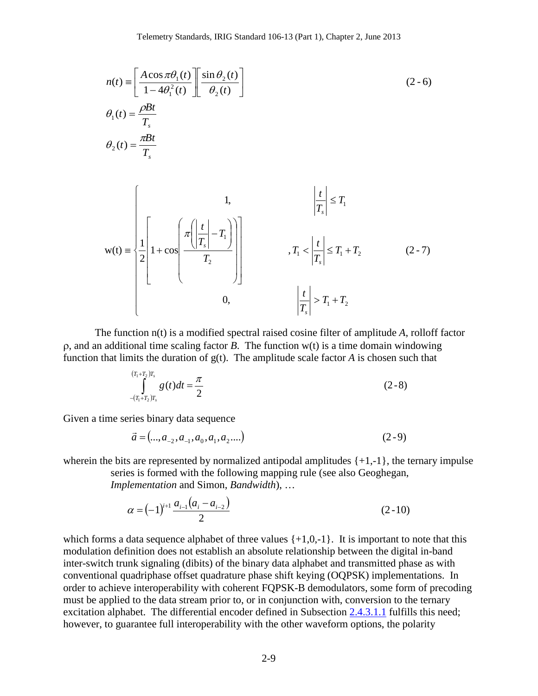$$
n(t) \equiv \left[ \frac{A \cos \pi \theta_1(t)}{1 - 4\theta_1^2(t)} \right] \frac{\sin \theta_2(t)}{\theta_2(t)}
$$
  
\n
$$
\theta_1(t) = \frac{\rho B t}{T_s}
$$
  
\n
$$
\theta_2(t) = \frac{\pi B t}{T_s}
$$
 (2-6)

$$
w(t) = \begin{cases} 1, & \left|\frac{t}{T_s}\right| \le T_1\\ \frac{1}{2} \left[1 + \cos\left(\frac{\pi\left(\left|\frac{t}{T_s}\right| - T_1\right)}{T_2}\right)\right] & , T_1 < \left|\frac{t}{T_s}\right| \le T_1 + T_2\\ 0, & \left|\frac{t}{T_s}\right| > T_1 + T_2 \end{cases}
$$
(2-7)

The function n(t) is a modified spectral raised cosine filter of amplitude *A*, rolloff factor ρ, and an additional time scaling factor *B*. The function w(t) is a time domain windowing function that limits the duration of  $g(t)$ . The amplitude scale factor *A* is chosen such that

$$
\int_{-(T_1+T_2)T_s}^{(T_1+T_2)T_s} g(t)dt = \frac{\pi}{2}
$$
\n(2-8)

Given a time series binary data sequence

$$
\vec{a} = (...,a_{-2},a_{-1},a_0,a_1,a_2....)
$$
\n(2-9)

wherein the bits are represented by normalized antipodal amplitudes  $\{+1,-1\}$ , the ternary impulse

series is formed with the following mapping rule (see also Geoghegan,

*Implementation* and Simon, *Bandwidth*), …

$$
\alpha = (-1)^{i+1} \frac{a_{i-1}(a_i - a_{i-2})}{2} \tag{2-10}
$$

which forms a data sequence alphabet of three values  $\{+1,0,-1\}$ . It is important to note that this modulation definition does not establish an absolute relationship between the digital in-band inter-switch trunk signaling (dibits) of the binary data alphabet and transmitted phase as with conventional quadriphase offset quadrature phase shift keying (OQPSK) implementations. In order to achieve interoperability with coherent FQPSK-B demodulators, some form of precoding must be applied to the data stream prior to, or in conjunction with, conversion to the ternary excitation alphabet. The differential encoder defined in Subsection [2.4.3.1.1](#page-8-0) fulfills this need; however, to guarantee full interoperability with the other waveform options, the polarity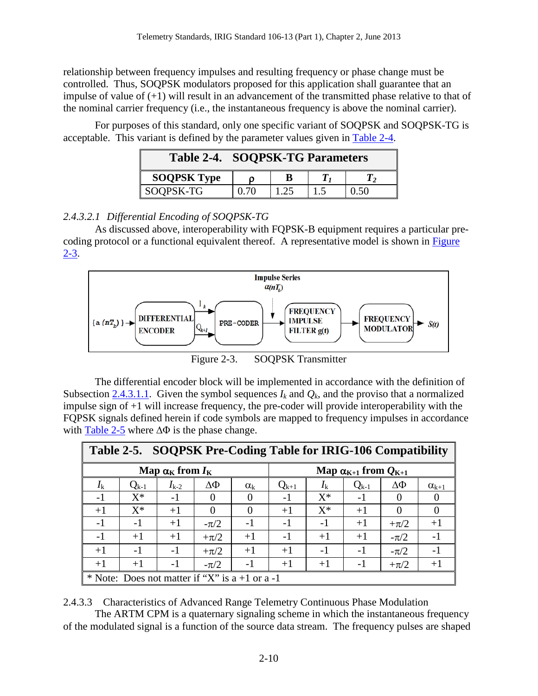relationship between frequency impulses and resulting frequency or phase change must be controlled. Thus, SOQPSK modulators proposed for this application shall guarantee that an impulse of value of  $(+1)$  will result in an advancement of the transmitted phase relative to that of the nominal carrier frequency (i.e., the instantaneous frequency is above the nominal carrier).

For purposes of this standard, only one specific variant of SOQPSK and SOQPSK-TG is acceptable. This variant is defined by the parameter values given in [Table 2-4.](#page-13-1)

<span id="page-13-1"></span>

| Table 2-4. SOQPSK-TG Parameters |  |  |
|---------------------------------|--|--|
| <b>SOQPSK Type</b>              |  |  |
| SOQPSK-TG                       |  |  |

## *2.4.3.2.1 Differential Encoding of SOQPSK-TG*

As discussed above, interoperability with FQPSK-B equipment requires a particular precoding protocol or a functional equivalent thereof. A representative model is shown in [Figure](#page-13-0)  [2-3.](#page-13-0)



Figure 2-3. SOQPSK Transmitter

<span id="page-13-0"></span>The differential encoder block will be implemented in accordance with the definition of Subsection [2.4.3.1.1.](#page-8-0) Given the symbol sequences  $I_k$  and  $Q_k$ , and the proviso that a normalized impulse sign of +1 will increase frequency, the pre-coder will provide interoperability with the FQPSK signals defined herein if code symbols are mapped to frequency impulses in accordance with [Table 2-5](#page-13-2) where  $\Delta \Phi$  is the phase change.

<span id="page-13-2"></span>

|         | Table 2-5. SOQPSK Pre-Coding Table for IRIG-106 Compatibility |                                       |                                                      |              |           |         |                                   |          |                |
|---------|---------------------------------------------------------------|---------------------------------------|------------------------------------------------------|--------------|-----------|---------|-----------------------------------|----------|----------------|
|         |                                                               | Map $\alpha_{\rm K}$ from $I_{\rm K}$ |                                                      |              |           |         | Map $\alpha_{K+1}$ from $Q_{K+1}$ |          |                |
| $I_{k}$ | $Q_{k-1}$                                                     | $I_{k-2}$                             | ΔΦ                                                   | $\alpha_{k}$ | $Q_{k+1}$ | $I_{k}$ | $Q_{k-1}$                         | ΛФ       | $\alpha_{k+1}$ |
| $-1$    | $X^*$                                                         | $-1$                                  | $\theta$                                             |              | $-1$      | $X^*$   | $-1$                              |          |                |
| $+1$    | $X^*$                                                         | $+1$                                  | $\theta$                                             |              | $+1$      | $X^*$   | $+1$                              |          |                |
| $-1$    | $-1$                                                          | $+1$                                  | $-\pi/2$                                             | $-1$         | $-1$      | -1      | $+1$                              | $+\pi/2$ | $+1$           |
| $-1$    | $+1$                                                          | $+1$                                  | $+\pi/2$                                             | $+1$         | $-1$      | $+1$    | $+1$                              | $-\pi/2$ | $-1$           |
| $+1$    | $-1$                                                          | -1                                    | $+\pi/2$                                             | $+1$         | $+1$      | -1      | $-1$                              | $-\pi/2$ | $-1$           |
| $+1$    | $+1$                                                          | $-1$                                  | $-\pi/2$                                             | $-1$         | $+1$      | $+1$    | $-1$                              | $+\pi/2$ | $+1$           |
|         |                                                               |                                       | * Note: Does not matter if "X" is $a + 1$ or $a - 1$ |              |           |         |                                   |          |                |

2.4.3.3 Characteristics of Advanced Range Telemetry Continuous Phase Modulation

The ARTM CPM is a quaternary signaling scheme in which the instantaneous frequency of the modulated signal is a function of the source data stream. The frequency pulses are shaped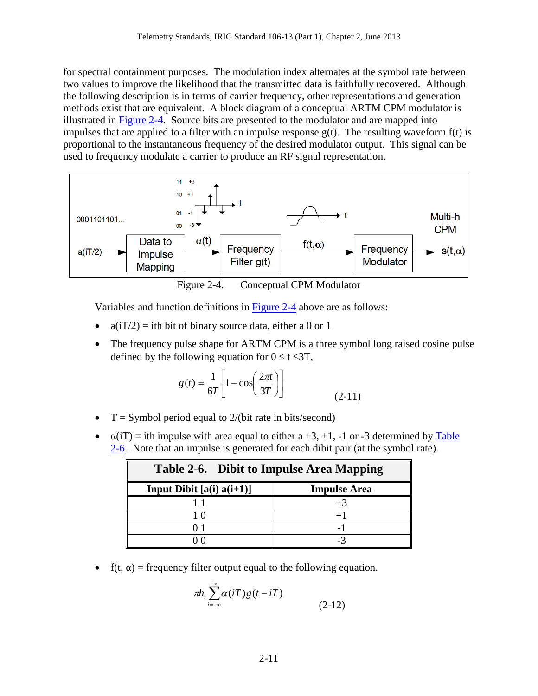for spectral containment purposes. The modulation index alternates at the symbol rate between two values to improve the likelihood that the transmitted data is faithfully recovered. Although the following description is in terms of carrier frequency, other representations and generation methods exist that are equivalent. A block diagram of a conceptual ARTM CPM modulator is illustrated in [Figure 2-4.](#page-14-0) Source bits are presented to the modulator and are mapped into impulses that are applied to a filter with an impulse response  $g(t)$ . The resulting waveform  $f(t)$  is proportional to the instantaneous frequency of the desired modulator output. This signal can be used to frequency modulate a carrier to produce an RF signal representation.



Figure 2-4. Conceptual CPM Modulator

<span id="page-14-0"></span>Variables and function definitions in [Figure 2-4](#page-14-0) above are as follows:

- $a(iT/2) = i$ th bit of binary source data, either a 0 or 1
- The frequency pulse shape for ARTM CPM is a three symbol long raised cosine pulse defined by the following equation for  $0 \le t \le 3T$ ,

$$
g(t) = \frac{1}{6T} \left[ 1 - \cos\left(\frac{2\pi t}{3T}\right) \right]
$$
 (2-11)

- $T =$  Symbol period equal to 2/(bit rate in bits/second)
- $\alpha(T)$  = ith impulse with area equal to either a +3, +1, -1 or -3 determined by Table [2-6.](#page-14-1) Note that an impulse is generated for each dibit pair (at the symbol rate).

<span id="page-14-1"></span>

| Table 2-6. Dibit to Impulse Area Mapping |                     |  |  |  |  |  |
|------------------------------------------|---------------------|--|--|--|--|--|
| Input Dibit $[a(i) a(i+1)]$              | <b>Impulse Area</b> |  |  |  |  |  |
|                                          |                     |  |  |  |  |  |
|                                          |                     |  |  |  |  |  |
|                                          |                     |  |  |  |  |  |
|                                          |                     |  |  |  |  |  |

•  $f(t, \alpha)$  = frequency filter output equal to the following equation.

$$
\pi h_i \sum_{i=-\infty}^{+\infty} \alpha(iT) g(t - iT)
$$
\n(2-12)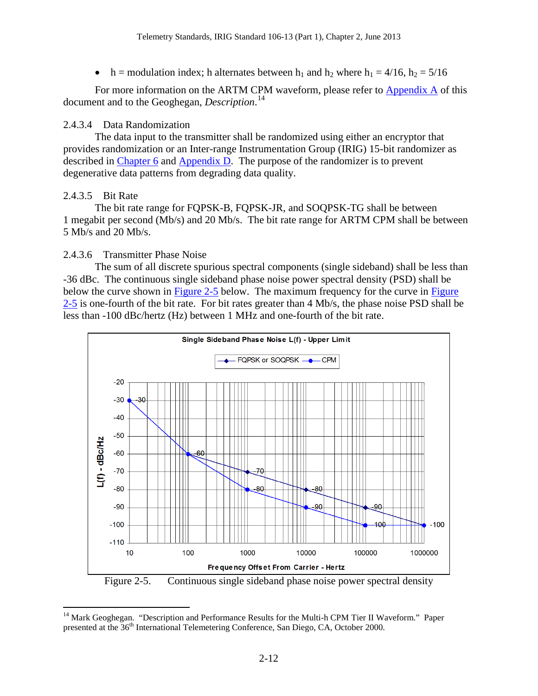• h = modulation index; h alternates between h<sub>1</sub> and h<sub>2</sub> where h<sub>1</sub> = 4/16, h<sub>2</sub> = 5/16

For more information on the ARTM CPM waveform, please refer to [Appendix A](http://www.wsmr.army.mil/RCCsite/Documents/106-13_Telemetry_Standards/appendixA.pdf) of this document and to the Geoghegan, *Description*. [14](#page-15-1)

#### 2.4.3.4 Data Randomization

The data input to the transmitter shall be randomized using either an encryptor that provides randomization or an Inter-range Instrumentation Group (IRIG) 15-bit randomizer as described in [Chapter 6](http://www.wsmr.army.mil/RCCsite/Documents/106-13_Telemetry_Standards/chapter6.pdf) and [Appendix D.](http://www.wsmr.army.mil/RCCsite/Documents/106-13_Telemetry_Standards/AppendixD.pdf) The purpose of the randomizer is to prevent degenerative data patterns from degrading data quality.

#### 2.4.3.5 Bit Rate

The bit rate range for FQPSK-B, FQPSK-JR, and SOQPSK-TG shall be between 1 megabit per second (Mb/s) and 20 Mb/s. The bit rate range for ARTM CPM shall be between 5 Mb/s and 20 Mb/s.

2.4.3.6 Transmitter Phase Noise

The sum of all discrete spurious spectral components (single sideband) shall be less than -36 dBc. The continuous single sideband phase noise power spectral density (PSD) shall be below the curve shown in [Figure 2-5](#page-15-0) below. The maximum frequency for the curve in [Figure](#page-15-0)  [2-5](#page-15-0) is one-fourth of the bit rate. For bit rates greater than 4 Mb/s, the phase noise PSD shall be less than -100 dBc/hertz (Hz) between 1 MHz and one-fourth of the bit rate.



<span id="page-15-1"></span><span id="page-15-0"></span><sup>&</sup>lt;sup>14</sup> Mark Geoghegan. "Description and Performance Results for the Multi-h CPM Tier II Waveform." Paper presented at the 36<sup>th</sup> International Telemetering Conference, San Diego, CA, October 2000.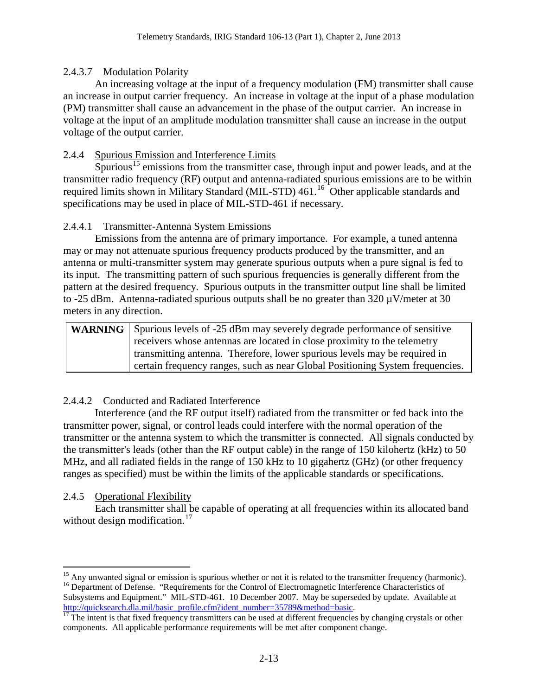## 2.4.3.7 Modulation Polarity

An increasing voltage at the input of a frequency modulation (FM) transmitter shall cause an increase in output carrier frequency. An increase in voltage at the input of a phase modulation (PM) transmitter shall cause an advancement in the phase of the output carrier. An increase in voltage at the input of an amplitude modulation transmitter shall cause an increase in the output voltage of the output carrier.

#### <span id="page-16-0"></span>2.4.4 Spurious Emission and Interference Limits

Spurious<sup>[15](#page-16-2)</sup> emissions from the transmitter case, through input and power leads, and at the transmitter radio frequency (RF) output and antenna-radiated spurious emissions are to be within required limits shown in Military Standard (MIL-STD) 461.<sup>[16](#page-16-3)</sup> Other applicable standards and specifications may be used in place of MIL-STD-461 if necessary.

#### 2.4.4.1 Transmitter-Antenna System Emissions

Emissions from the antenna are of primary importance. For example, a tuned antenna may or may not attenuate spurious frequency products produced by the transmitter, and an antenna or multi-transmitter system may generate spurious outputs when a pure signal is fed to its input. The transmitting pattern of such spurious frequencies is generally different from the pattern at the desired frequency. Spurious outputs in the transmitter output line shall be limited to -25 dBm. Antenna-radiated spurious outputs shall be no greater than  $320 \mu$ V/meter at 30 meters in any direction.

| <b>WARNING</b> Spurious levels of -25 dBm may severely degrade performance of sensitive |
|-----------------------------------------------------------------------------------------|
| receivers whose antennas are located in close proximity to the telemetry                |
| transmitting antenna. Therefore, lower spurious levels may be required in               |
| certain frequency ranges, such as near Global Positioning System frequencies.           |

## 2.4.4.2 Conducted and Radiated Interference

Interference (and the RF output itself) radiated from the transmitter or fed back into the transmitter power, signal, or control leads could interfere with the normal operation of the transmitter or the antenna system to which the transmitter is connected. All signals conducted by the transmitter's leads (other than the RF output cable) in the range of 150 kilohertz (kHz) to 50 MHz, and all radiated fields in the range of 150 kHz to 10 gigahertz (GHz) (or other frequency ranges as specified) must be within the limits of the applicable standards or specifications.

## <span id="page-16-1"></span>2.4.5 Operational Flexibility

Each transmitter shall be capable of operating at all frequencies within its allocated band without design modification.<sup>[17](#page-16-4)</sup>

<span id="page-16-3"></span><span id="page-16-2"></span><sup>&</sup>lt;sup>15</sup> Any unwanted signal or emission is spurious whether or not it is related to the transmitter frequency (harmonic). <sup>16</sup> Department of Defense. "Requirements for the Control of Electromagnetic Interference Characterist Subsystems and Equipment." MIL-STD-461. 10 December 2007. May be superseded by update. Available at [http://quicksearch.dla.mil/basic\\_profile.cfm?ident\\_number=35789&method=basic.](http://quicksearch.dla.mil/basic_profile.cfm?ident_number=35789&method=basic) 17<br><sup>17</sup> The intent is that fixed frequency transmitters can be used at different frequencies by changing crystals or other

<span id="page-16-4"></span>components. All applicable performance requirements will be met after component change.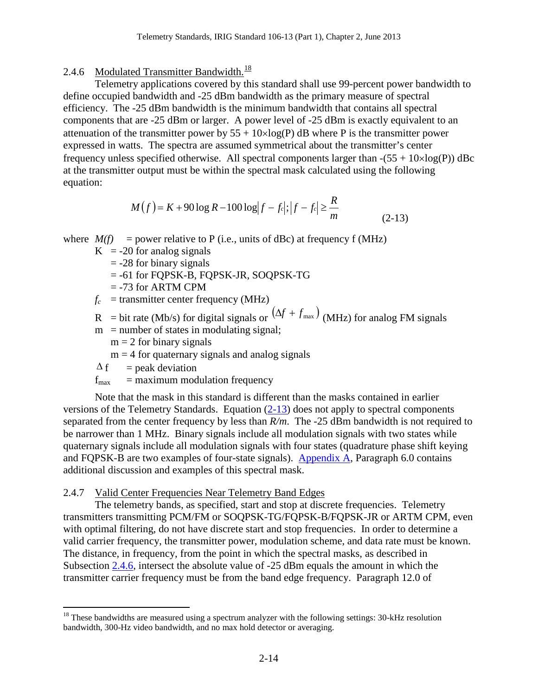## <span id="page-17-0"></span>2.4.6 Modulated Transmitter Bandwidth. $\frac{18}{18}$  $\frac{18}{18}$  $\frac{18}{18}$

Telemetry applications covered by this standard shall use 99-percent power bandwidth to define occupied bandwidth and -25 dBm bandwidth as the primary measure of spectral efficiency. The -25 dBm bandwidth is the minimum bandwidth that contains all spectral components that are -25 dBm or larger. A power level of -25 dBm is exactly equivalent to an attenuation of the transmitter power by  $55 + 10 \times \log(P)$  dB where P is the transmitter power expressed in watts. The spectra are assumed symmetrical about the transmitter's center frequency unless specified otherwise. All spectral components larger than  $-(55 + 10 \times \log(P))$  dBc at the transmitter output must be within the spectral mask calculated using the following equation:

$$
M(f) = K + 90 \log R - 100 \log |f - f_c|; |f - f_c| \ge \frac{R}{m}
$$
 (2-13)

<span id="page-17-2"></span>where  $M(f)$  = power relative to P (i.e., units of dBc) at frequency f (MHz)

- $K = -20$  for analog signals
	- $=$  -28 for binary signals
	- = -61 for FQPSK-B, FQPSK-JR, SOQPSK-TG
	- = -73 for ARTM CPM
- $f_c$  = transmitter center frequency (MHz)

R = bit rate (Mb/s) for digital signals or 
$$
(\Delta f + f_{\text{max}})
$$
 (MHz) for analog FM signals

- $m =$  number of states in modulating signal;  $m = 2$  for binary signals
	- $m = 4$  for quaternary signals and analog signals
- $\Delta f$  = peak deviation

 $f_{\text{max}}$  = maximum modulation frequency

Note that the mask in this standard is different than the masks contained in earlier versions of the Telemetry Standards. Equation [\(2-13\)](#page-17-2) does not apply to spectral components separated from the center frequency by less than *R/m*. The -25 dBm bandwidth is not required to be narrower than 1 MHz. Binary signals include all modulation signals with two states while quaternary signals include all modulation signals with four states (quadrature phase shift keying and FQPSK-B are two examples of four-state signals). [Appendix A,](http://www.wsmr.army.mil/RCCsite/Documents/106-13_Telemetry_Standards/appendixA.pdf) Paragraph 6.0 contains additional discussion and examples of this spectral mask.

#### <span id="page-17-1"></span>2.4.7 Valid Center Frequencies Near Telemetry Band Edges

The telemetry bands, as specified, start and stop at discrete frequencies. Telemetry transmitters transmitting PCM/FM or SOQPSK-TG/FQPSK-B/FQPSK-JR or ARTM CPM, even with optimal filtering, do not have discrete start and stop frequencies. In order to determine a valid carrier frequency, the transmitter power, modulation scheme, and data rate must be known. The distance, in frequency, from the point in which the spectral masks, as described in Subsection [2.4.6,](#page-17-0) intersect the absolute value of -25 dBm equals the amount in which the transmitter carrier frequency must be from the band edge frequency. Paragraph 12.0 of

<span id="page-17-3"></span><sup>&</sup>lt;sup>18</sup> These bandwidths are measured using a spectrum analyzer with the following settings: 30-kHz resolution bandwidth, 300-Hz video bandwidth, and no max hold detector or averaging.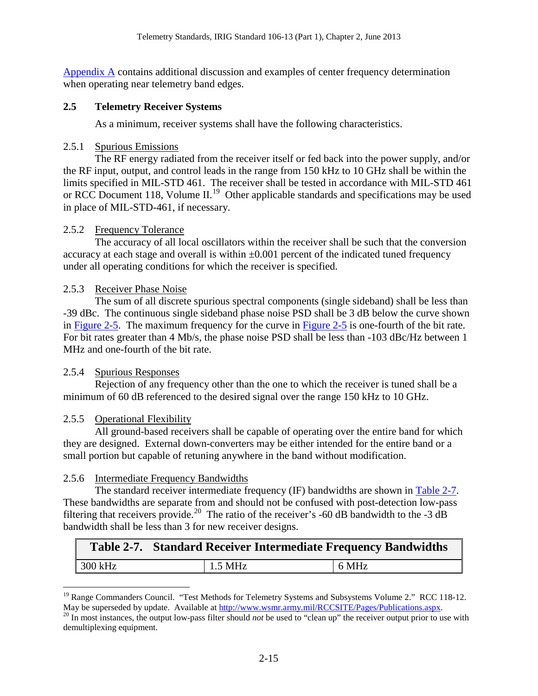[Appendix A](http://www.wsmr.army.mil/RCCsite/Documents/106-13_Telemetry_Standards/appendixA.pdf) contains additional discussion and examples of center frequency determination when operating near telemetry band edges.

#### <span id="page-18-0"></span>**2.5 Telemetry Receiver Systems**

As a minimum, receiver systems shall have the following characteristics.

#### <span id="page-18-1"></span>2.5.1 Spurious Emissions

The RF energy radiated from the receiver itself or fed back into the power supply, and/or the RF input, output, and control leads in the range from 150 kHz to 10 GHz shall be within the limits specified in MIL-STD 461. The receiver shall be tested in accordance with MIL-STD 461 or RCC Document 118, Volume II.<sup>[19](#page-18-8)</sup> Other applicable standards and specifications may be used in place of MIL-STD-461, if necessary.

#### <span id="page-18-2"></span>2.5.2 Frequency Tolerance

The accuracy of all local oscillators within the receiver shall be such that the conversion accuracy at each stage and overall is within  $\pm 0.001$  percent of the indicated tuned frequency under all operating conditions for which the receiver is specified.

#### <span id="page-18-3"></span>2.5.3 Receiver Phase Noise

The sum of all discrete spurious spectral components (single sideband) shall be less than -39 dBc. The continuous single sideband phase noise PSD shall be 3 dB below the curve shown in [Figure 2-5.](#page-15-0) The maximum frequency for the curve in [Figure 2-5](#page-15-0) is one-fourth of the bit rate. For bit rates greater than 4 Mb/s, the phase noise PSD shall be less than -103 dBc/Hz between 1 MHz and one-fourth of the bit rate.

## <span id="page-18-4"></span>2.5.4 Spurious Responses

Rejection of any frequency other than the one to which the receiver is tuned shall be a minimum of 60 dB referenced to the desired signal over the range 150 kHz to 10 GHz.

## <span id="page-18-5"></span>2.5.5 Operational Flexibility

All ground-based receivers shall be capable of operating over the entire band for which they are designed. External down-converters may be either intended for the entire band or a small portion but capable of retuning anywhere in the band without modification.

## <span id="page-18-6"></span>2.5.6 Intermediate Frequency Bandwidths

The standard receiver intermediate frequency (IF) bandwidths are shown in [Table 2-7.](#page-18-7) These bandwidths are separate from and should not be confused with post-detection low-pass filtering that receivers provide.<sup>[20](#page-18-9)</sup> The ratio of the receiver's -60 dB bandwidth to the -3 dB bandwidth shall be less than 3 for new receiver designs.

<span id="page-18-7"></span>

|         |                   | Table 2-7. Standard Receiver Intermediate Frequency Bandwidths |
|---------|-------------------|----------------------------------------------------------------|
| 300 kHz | $1.5 \text{ MHz}$ | $\overline{6}$ MHz                                             |

<span id="page-18-8"></span><sup>&</sup>lt;sup>19</sup> Range Commanders Council. "Test Methods for Telemetry Systems and Subsystems Volume 2." RCC 118-12. May be superseded by update. Available at  $\frac{http://www.wsmr.army.mil/RCCSITE/Pages/Publications.aspx}{10}$ .<br><sup>20</sup> In most instances, the output low-pass filter should *not* be used to "clean up" the receiver output prior to use with

<span id="page-18-9"></span>demultiplexing equipment.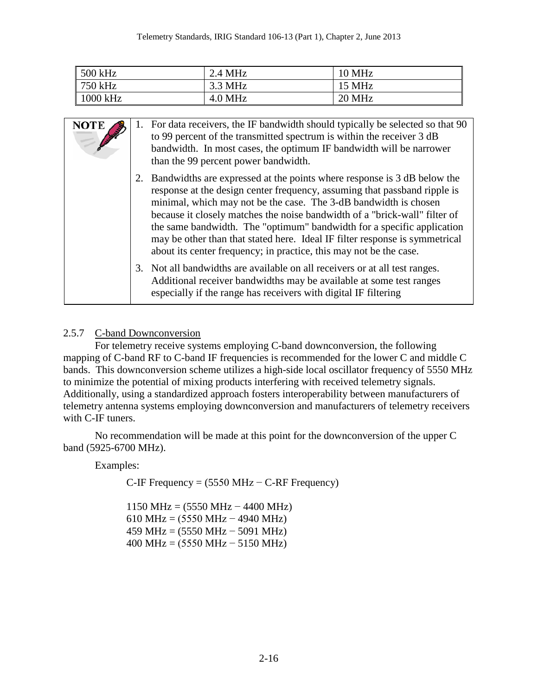| $\frac{1}{2}$ 500 kHz    | 2.4 MHz   | <b>10 MHz</b> |
|--------------------------|-----------|---------------|
| $\sqrt{750 \text{ kHz}}$ | 3.3 MHz   | 15 MHz        |
| $\parallel$ 1000 kHz     | $4.0$ MHz | <b>20 MHz</b> |

| NOTE | 1. | For data receivers, the IF bandwidth should typically be selected so that 90<br>to 99 percent of the transmitted spectrum is within the receiver 3 dB<br>bandwidth. In most cases, the optimum IF bandwidth will be narrower<br>than the 99 percent power bandwidth.                                                                                                                                                                                                                                                                     |
|------|----|------------------------------------------------------------------------------------------------------------------------------------------------------------------------------------------------------------------------------------------------------------------------------------------------------------------------------------------------------------------------------------------------------------------------------------------------------------------------------------------------------------------------------------------|
|      |    | 2. Bandwidths are expressed at the points where response is 3 dB below the<br>response at the design center frequency, assuming that passband ripple is<br>minimal, which may not be the case. The 3-dB bandwidth is chosen<br>because it closely matches the noise bandwidth of a "brick-wall" filter of<br>the same bandwidth. The "optimum" bandwidth for a specific application<br>may be other than that stated here. Ideal IF filter response is symmetrical<br>about its center frequency; in practice, this may not be the case. |
|      |    | 3. Not all bandwidths are available on all receivers or at all test ranges.<br>Additional receiver bandwidths may be available at some test ranges<br>especially if the range has receivers with digital IF filtering                                                                                                                                                                                                                                                                                                                    |

## <span id="page-19-0"></span>2.5.7 C-band Downconversion

For telemetry receive systems employing C-band downconversion, the following mapping of C-band RF to C-band IF frequencies is recommended for the lower C and middle C bands. This downconversion scheme utilizes a high-side local oscillator frequency of 5550 MHz to minimize the potential of mixing products interfering with received telemetry signals. Additionally, using a standardized approach fosters interoperability between manufacturers of telemetry antenna systems employing downconversion and manufacturers of telemetry receivers with C-IF tuners.

No recommendation will be made at this point for the downconversion of the upper C band (5925-6700 MHz).

Examples:

C-IF Frequency =  $(5550 \text{ MHz} - \text{C-RF}$  Frequency)

 MHz = (5550 MHz − 4400 MHz) MHz = (5550 MHz − 4940 MHz) 459 MHz = (5550 MHz − 5091 MHz) MHz = (5550 MHz − 5150 MHz)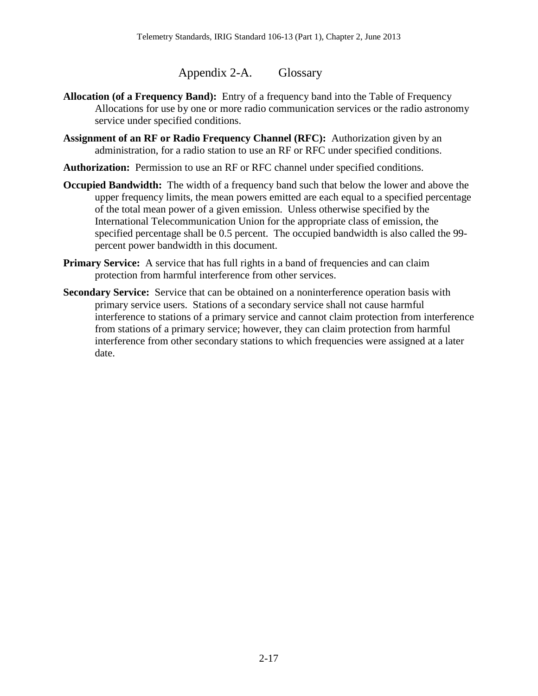## Appendix 2-A. Glossary

- <span id="page-20-0"></span>**Allocation (of a Frequency Band):** Entry of a frequency band into the Table of Frequency Allocations for use by one or more radio communication services or the radio astronomy service under specified conditions.
- **Assignment of an RF or Radio Frequency Channel (RFC):** Authorization given by an administration, for a radio station to use an RF or RFC under specified conditions.
- **Authorization:** Permission to use an RF or RFC channel under specified conditions.
- **Occupied Bandwidth:** The width of a frequency band such that below the lower and above the upper frequency limits, the mean powers emitted are each equal to a specified percentage of the total mean power of a given emission. Unless otherwise specified by the International Telecommunication Union for the appropriate class of emission, the specified percentage shall be 0.5 percent. The occupied bandwidth is also called the 99 percent power bandwidth in this document.
- **Primary Service:** A service that has full rights in a band of frequencies and can claim protection from harmful interference from other services.
- **Secondary Service:** Service that can be obtained on a noninterference operation basis with primary service users. Stations of a secondary service shall not cause harmful interference to stations of a primary service and cannot claim protection from interference from stations of a primary service; however, they can claim protection from harmful interference from other secondary stations to which frequencies were assigned at a later date.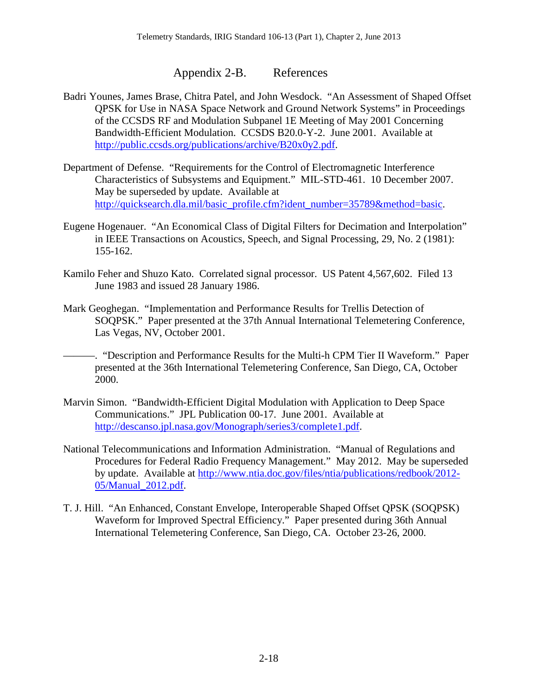## Appendix 2-B. References

- <span id="page-21-0"></span>Badri Younes, James Brase, Chitra Patel, and John Wesdock. "An Assessment of Shaped Offset QPSK for Use in NASA Space Network and Ground Network Systems" in Proceedings of the CCSDS RF and Modulation Subpanel 1E Meeting of May 2001 Concerning Bandwidth-Efficient Modulation. CCSDS B20.0-Y-2. June 2001. Available at [http://public.ccsds.org/publications/archive/B20x0y2.pdf.](http://public.ccsds.org/publications/archive/B20x0y2.pdf)
- Department of Defense. "Requirements for the Control of Electromagnetic Interference Characteristics of Subsystems and Equipment." MIL-STD-461. 10 December 2007. May be superseded by update. Available at [http://quicksearch.dla.mil/basic\\_profile.cfm?ident\\_number=35789&method=basic.](http://quicksearch.dla.mil/basic_profile.cfm?ident_number=35789&method=basic)
- Eugene Hogenauer. "An Economical Class of Digital Filters for Decimation and Interpolation" in IEEE Transactions on Acoustics, Speech, and Signal Processing, 29, No. 2 (1981): 155-162.
- Kamilo Feher and Shuzo Kato. Correlated signal processor. US Patent 4,567,602. Filed 13 June 1983 and issued 28 January 1986.
- Mark Geoghegan. "Implementation and Performance Results for Trellis Detection of SOQPSK." Paper presented at the 37th Annual International Telemetering Conference, Las Vegas, NV, October 2001.
- ———. "Description and Performance Results for the Multi-h CPM Tier II Waveform." Paper presented at the 36th International Telemetering Conference, San Diego, CA, October 2000.
- Marvin Simon. "Bandwidth-Efficient Digital Modulation with Application to Deep Space Communications." JPL Publication 00-17. June 2001. Available at [http://descanso.jpl.nasa.gov/Monograph/series3/complete1.pdf.](http://descanso.jpl.nasa.gov/Monograph/series3/complete1.pdf)
- National Telecommunications and Information Administration. "Manual of Regulations and Procedures for Federal Radio Frequency Management." May 2012. May be superseded by update. Available at [http://www.ntia.doc.gov/files/ntia/publications/redbook/2012-](http://www.ntia.doc.gov/files/ntia/publications/redbook/2012-05/Manual_2012.pdf) [05/Manual\\_2012.pdf.](http://www.ntia.doc.gov/files/ntia/publications/redbook/2012-05/Manual_2012.pdf)
- T. J. Hill. "An Enhanced, Constant Envelope, Interoperable Shaped Offset QPSK (SOQPSK) Waveform for Improved Spectral Efficiency." Paper presented during 36th Annual International Telemetering Conference, San Diego, CA. October 23-26, 2000.